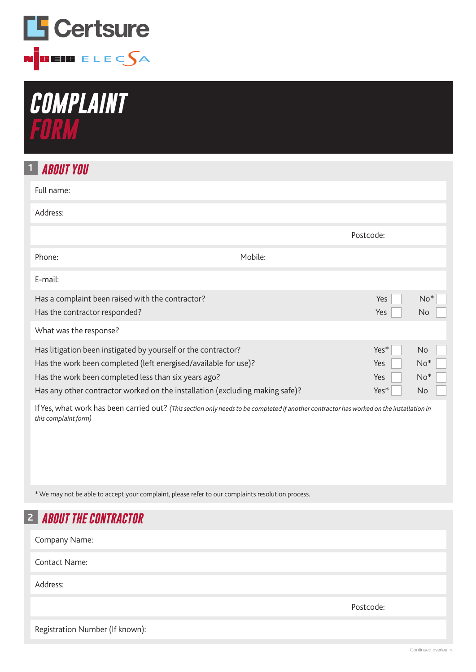



## *ABOUT YOU* **1**

| Full name:                                                                                                                                                                                                                                                               |         |                            |                                   |
|--------------------------------------------------------------------------------------------------------------------------------------------------------------------------------------------------------------------------------------------------------------------------|---------|----------------------------|-----------------------------------|
| Address:                                                                                                                                                                                                                                                                 |         |                            |                                   |
|                                                                                                                                                                                                                                                                          |         | Postcode:                  |                                   |
| Phone:                                                                                                                                                                                                                                                                   | Mobile: |                            |                                   |
| E-mail:                                                                                                                                                                                                                                                                  |         |                            |                                   |
| Has a complaint been raised with the contractor?<br>Has the contractor responded?                                                                                                                                                                                        |         | Yes<br>Yes                 | $No*$<br>No                       |
| What was the response?                                                                                                                                                                                                                                                   |         |                            |                                   |
| Has litigation been instigated by yourself or the contractor?<br>Has the work been completed (left energised/available for use)?<br>Has the work been completed less than six years ago?<br>Has any other contractor worked on the installation (excluding making safe)? |         | Yes*<br>Yes<br>Yes<br>Yes* | <b>No</b><br>$No*$<br>$No*$<br>No |

If Yes, what work has been carried out? *(This section only needs to be completed if another contractor has worked on the installation in this complaint form)*

\* We may not be able to accept your complaint, please refer to our complaints resolution process.

## *ABOUT THE CONTRACTOR* **2**

| Company Name:                   |           |
|---------------------------------|-----------|
| Contact Name:                   |           |
| Address:                        |           |
|                                 | Postcode: |
| Registration Number (If known): |           |